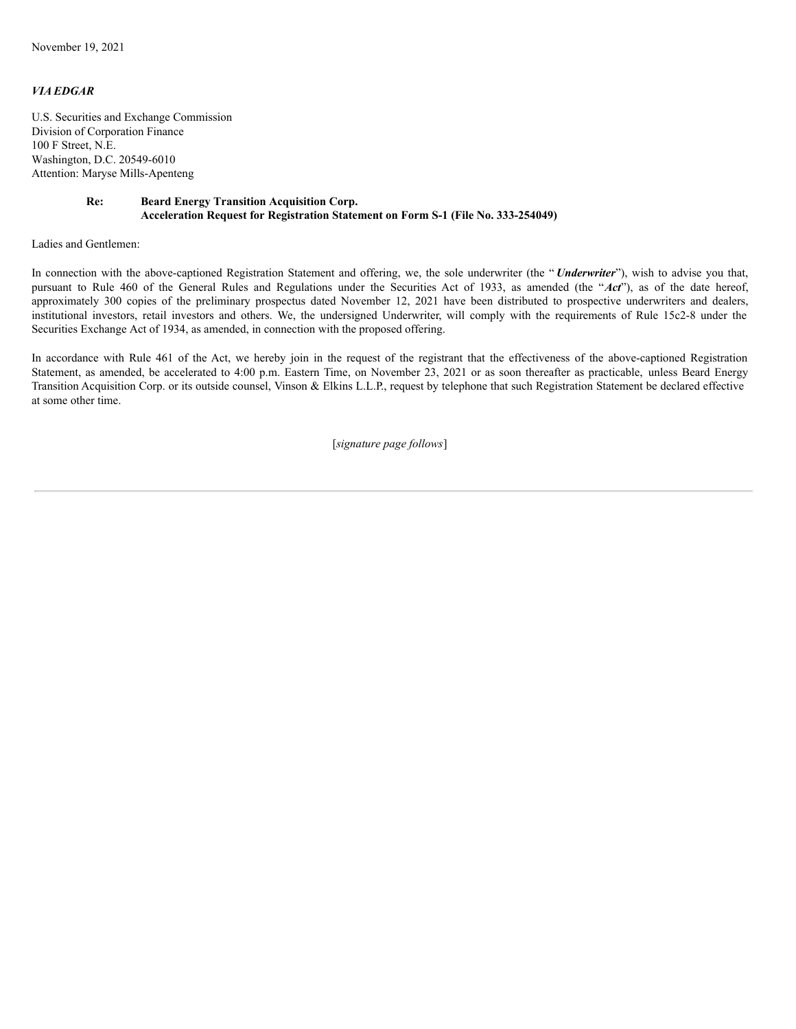## *VIA EDGAR*

U.S. Securities and Exchange Commission Division of Corporation Finance 100 F Street, N.E. Washington, D.C. 20549-6010 Attention: Maryse Mills-Apenteng

## **Re: Beard Energy Transition Acquisition Corp. Acceleration Request for Registration Statement on Form S-1 (File No. 333-254049)**

Ladies and Gentlemen:

In connection with the above-captioned Registration Statement and offering, we, the sole underwriter (the " *Underwriter*"), wish to advise you that, pursuant to Rule 460 of the General Rules and Regulations under the Securities Act of 1933, as amended (the "*Act*"), as of the date hereof, approximately 300 copies of the preliminary prospectus dated November 12, 2021 have been distributed to prospective underwriters and dealers, institutional investors, retail investors and others. We, the undersigned Underwriter, will comply with the requirements of Rule 15c2-8 under the Securities Exchange Act of 1934, as amended, in connection with the proposed offering.

In accordance with Rule 461 of the Act, we hereby join in the request of the registrant that the effectiveness of the above-captioned Registration Statement, as amended, be accelerated to 4:00 p.m. Eastern Time, on November 23, 2021 or as soon thereafter as practicable, unless Beard Energy Transition Acquisition Corp. or its outside counsel, Vinson & Elkins L.L.P., request by telephone that such Registration Statement be declared effective at some other time.

[*signature page follows*]